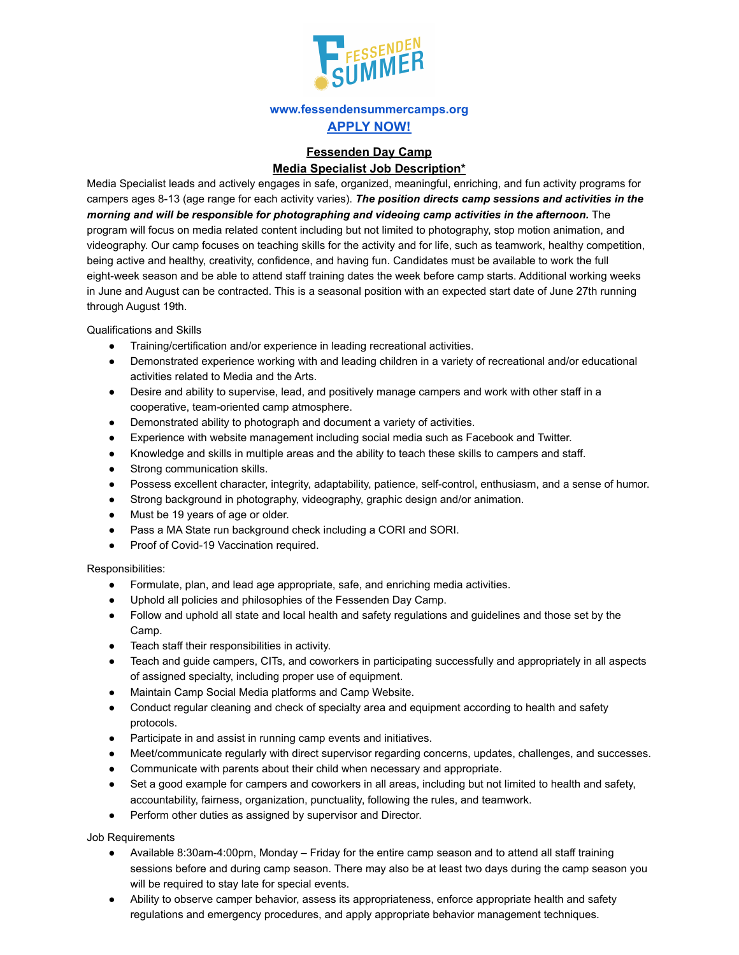

## **www.fessendensummercamps.org APPLY NOW!**

## **Fessenden Day Camp Media Specialist Job Description\***

Media Specialist leads and actively engages in safe, organized, meaningful, enriching, and fun activity programs for campers ages 8-13 (age range for each activity varies). *The position directs camp sessions and activities in the morning and will be responsible for photographing and videoing camp activities in the afternoon.* The program will focus on media related content including but not limited to photography, stop motion animation, and videography. Our camp focuses on teaching skills for the activity and for life, such as teamwork, healthy competition, being active and healthy, creativity, confidence, and having fun. Candidates must be available to work the full eight-week season and be able to attend staff training dates the week before camp starts. Additional working weeks in June and August can be contracted. This is a seasonal position with an expected start date of June 27th running through August 19th.

Qualifications and Skills

- Training/certification and/or experience in leading recreational activities.
- Demonstrated experience working with and leading children in a variety of recreational and/or educational activities related to Media and the Arts.
- Desire and ability to supervise, lead, and positively manage campers and work with other staff in a cooperative, team-oriented camp atmosphere.
- Demonstrated ability to photograph and document a variety of activities.
- Experience with website management including social media such as Facebook and Twitter.
- Knowledge and skills in multiple areas and the ability to teach these skills to campers and staff.
- Strong communication skills.
- Possess excellent character, integrity, adaptability, patience, self-control, enthusiasm, and a sense of humor.
- Strong background in photography, videography, graphic design and/or animation.
- Must be 19 years of age or older.
- Pass a MA State run background check including a CORI and SORI.
- Proof of Covid-19 Vaccination required.

Responsibilities:

- Formulate, plan, and lead age appropriate, safe, and enriching media activities.
- Uphold all policies and philosophies of the Fessenden Day Camp.
- Follow and uphold all state and local health and safety regulations and guidelines and those set by the Camp.
- Teach staff their responsibilities in activity.
- Teach and guide campers, CITs, and coworkers in participating successfully and appropriately in all aspects of assigned specialty, including proper use of equipment.
- Maintain Camp Social Media platforms and Camp Website.
- Conduct regular cleaning and check of specialty area and equipment according to health and safety protocols.
- Participate in and assist in running camp events and initiatives.
- Meet/communicate regularly with direct supervisor regarding concerns, updates, challenges, and successes.
- Communicate with parents about their child when necessary and appropriate.
- Set a good example for campers and coworkers in all areas, including but not limited to health and safety, accountability, fairness, organization, punctuality, following the rules, and teamwork.
- Perform other duties as assigned by supervisor and Director.

Job Requirements

- Available 8:30am-4:00pm, Monday Friday for the entire camp season and to attend all staff training sessions before and during camp season. There may also be at least two days during the camp season you will be required to stay late for special events.
- Ability to observe camper behavior, assess its appropriateness, enforce appropriate health and safety regulations and emergency procedures, and apply appropriate behavior management techniques.